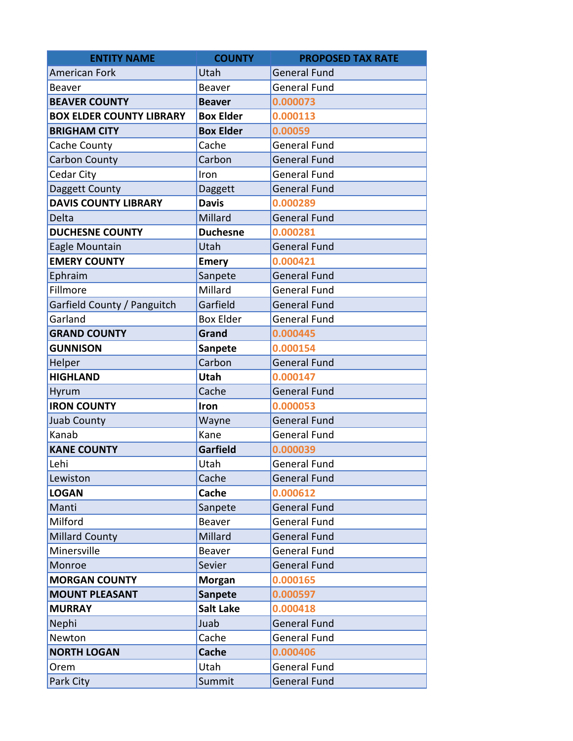| <b>ENTITY NAME</b>              | <b>COUNTY</b>    | <b>PROPOSED TAX RATE</b> |  |
|---------------------------------|------------------|--------------------------|--|
| <b>American Fork</b>            | Utah             | <b>General Fund</b>      |  |
| <b>Beaver</b>                   | <b>Beaver</b>    | <b>General Fund</b>      |  |
| <b>BEAVER COUNTY</b>            | <b>Beaver</b>    | 0.000073                 |  |
| <b>BOX ELDER COUNTY LIBRARY</b> | <b>Box Elder</b> | 0.000113                 |  |
| <b>BRIGHAM CITY</b>             | <b>Box Elder</b> | 0.00059                  |  |
| Cache County                    | Cache            | <b>General Fund</b>      |  |
| Carbon County                   | Carbon           | <b>General Fund</b>      |  |
| Cedar City                      | Iron             | <b>General Fund</b>      |  |
| Daggett County                  | Daggett          | <b>General Fund</b>      |  |
| <b>DAVIS COUNTY LIBRARY</b>     | <b>Davis</b>     | 0.000289                 |  |
| Delta                           | Millard          | <b>General Fund</b>      |  |
| <b>DUCHESNE COUNTY</b>          | <b>Duchesne</b>  | 0.000281                 |  |
| Eagle Mountain                  | Utah             | <b>General Fund</b>      |  |
| <b>EMERY COUNTY</b>             | <b>Emery</b>     | 0.000421                 |  |
| Ephraim                         | Sanpete          | <b>General Fund</b>      |  |
| Fillmore                        | Millard          | <b>General Fund</b>      |  |
| Garfield County / Panguitch     | Garfield         | <b>General Fund</b>      |  |
| Garland                         | <b>Box Elder</b> | <b>General Fund</b>      |  |
| <b>GRAND COUNTY</b>             | Grand            | 0.000445                 |  |
| <b>GUNNISON</b>                 | <b>Sanpete</b>   | 0.000154                 |  |
| Helper                          | Carbon           | <b>General Fund</b>      |  |
| <b>HIGHLAND</b>                 | Utah             | 0.000147                 |  |
| Hyrum                           | Cache            | <b>General Fund</b>      |  |
| <b>IRON COUNTY</b>              | Iron             | 0.000053                 |  |
| <b>Juab County</b>              | Wayne            | <b>General Fund</b>      |  |
| Kanab                           | Kane             | <b>General Fund</b>      |  |
| <b>KANE COUNTY</b>              | <b>Garfield</b>  | 0.000039                 |  |
| Lehi                            | Utah             | <b>General Fund</b>      |  |
| Lewiston                        | Cache            | <b>General Fund</b>      |  |
| <b>LOGAN</b>                    | Cache            | 0.000612                 |  |
| Manti                           | Sanpete          | <b>General Fund</b>      |  |
| Milford                         | Beaver           | <b>General Fund</b>      |  |
| <b>Millard County</b>           | Millard          | <b>General Fund</b>      |  |
| Minersville                     | Beaver           | General Fund             |  |
| Monroe                          | Sevier           | <b>General Fund</b>      |  |
| <b>MORGAN COUNTY</b>            | <b>Morgan</b>    | 0.000165                 |  |
| <b>MOUNT PLEASANT</b>           | <b>Sanpete</b>   | 0.000597                 |  |
| <b>MURRAY</b>                   | <b>Salt Lake</b> | 0.000418                 |  |
| Nephi                           | Juab             | <b>General Fund</b>      |  |
| Newton                          | Cache            | General Fund             |  |
| <b>NORTH LOGAN</b>              | Cache            | 0.000406                 |  |
| Orem                            | Utah             | <b>General Fund</b>      |  |
| Park City                       | Summit           | <b>General Fund</b>      |  |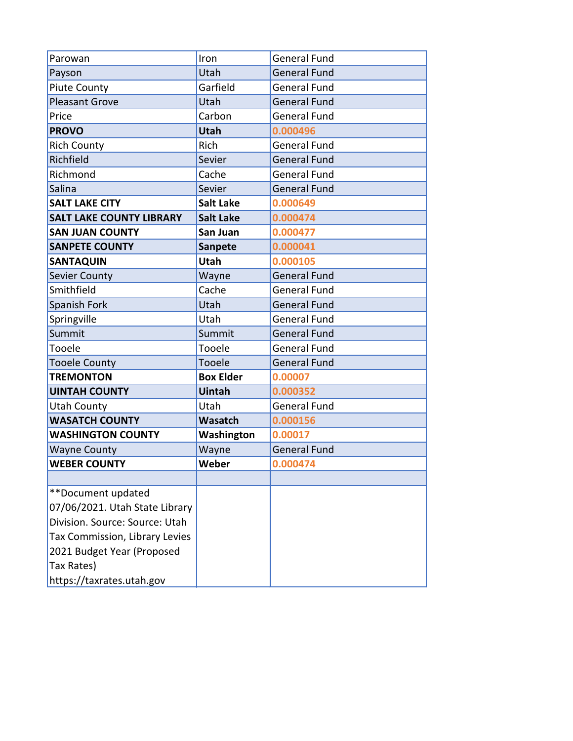| Parowan                         | Iron             | <b>General Fund</b> |  |
|---------------------------------|------------------|---------------------|--|
| Payson                          | Utah             | <b>General Fund</b> |  |
| <b>Piute County</b>             | Garfield         | <b>General Fund</b> |  |
| <b>Pleasant Grove</b>           | Utah             | <b>General Fund</b> |  |
| Price                           | Carbon           | <b>General Fund</b> |  |
| <b>PROVO</b>                    | <b>Utah</b>      | 0.000496            |  |
| <b>Rich County</b>              | Rich             | <b>General Fund</b> |  |
| Richfield                       | Sevier           | <b>General Fund</b> |  |
| Richmond                        | Cache            | <b>General Fund</b> |  |
| Salina                          | Sevier           | <b>General Fund</b> |  |
| <b>SALT LAKE CITY</b>           | <b>Salt Lake</b> | 0.000649            |  |
| <b>SALT LAKE COUNTY LIBRARY</b> | <b>Salt Lake</b> | 0.000474            |  |
| <b>SAN JUAN COUNTY</b>          | San Juan         | 0.000477            |  |
| <b>SANPETE COUNTY</b>           | Sanpete          | 0.000041            |  |
| <b>SANTAQUIN</b>                | Utah             | 0.000105            |  |
| Sevier County                   | Wayne            | <b>General Fund</b> |  |
| Smithfield                      | Cache            | <b>General Fund</b> |  |
| Spanish Fork                    | Utah             | <b>General Fund</b> |  |
| Springville                     | Utah             | <b>General Fund</b> |  |
| Summit                          | Summit           | <b>General Fund</b> |  |
| Tooele                          | Tooele           | <b>General Fund</b> |  |
| <b>Tooele County</b>            | Tooele           | <b>General Fund</b> |  |
| <b>TREMONTON</b>                | <b>Box Elder</b> | 0.00007             |  |
| <b>UINTAH COUNTY</b>            | <b>Uintah</b>    | 0.000352            |  |
| <b>Utah County</b>              | Utah             | <b>General Fund</b> |  |
| <b>WASATCH COUNTY</b>           | Wasatch          | 0.000156            |  |
| <b>WASHINGTON COUNTY</b>        | Washington       | 0.00017             |  |
| <b>Wayne County</b>             | Wayne            | <b>General Fund</b> |  |
| <b>WEBER COUNTY</b>             | Weber            | 0.000474            |  |
|                                 |                  |                     |  |
| **Document updated              |                  |                     |  |
| 07/06/2021. Utah State Library  |                  |                     |  |
| Division. Source: Source: Utah  |                  |                     |  |
| Tax Commission, Library Levies  |                  |                     |  |
| 2021 Budget Year (Proposed      |                  |                     |  |
| Tax Rates)                      |                  |                     |  |
| https://taxrates.utah.gov       |                  |                     |  |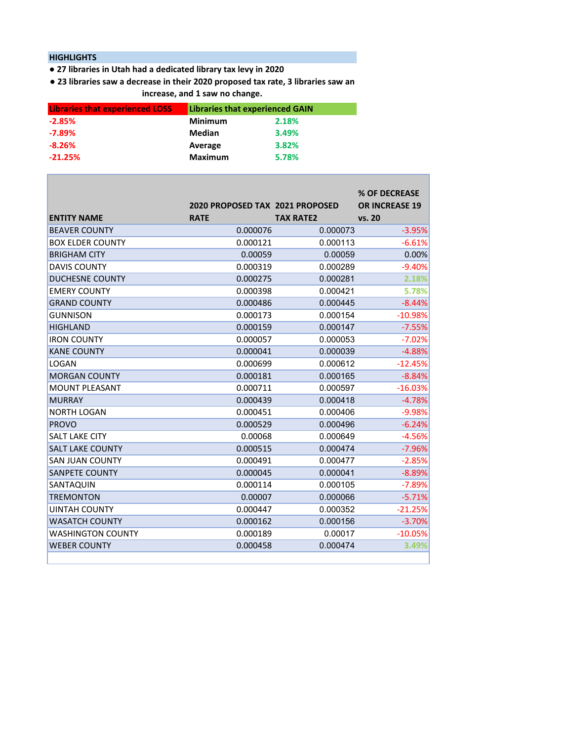## **HIGHLIGHTS**

Г

**● 27 libraries in Utah had a dedicated library tax levy in 2020**

**● 23 libraries saw a decrease in their 2020 proposed tax rate, 3 libraries saw an increase, and 1 saw no change.**

| <b>Libraries that experienced LOSS</b> | <b>Libraries that experienced GAIN</b> |       |
|----------------------------------------|----------------------------------------|-------|
| $-2.85%$                               | <b>Minimum</b>                         | 2.18% |
| $-7.89\%$                              | Median                                 | 3.49% |
| $-8.26%$                               | Average                                | 3.82% |
| $-21.25%$                              | <b>Maximum</b>                         | 5.78% |

| <b>ENTITY NAME</b>       | 2020 PROPOSED TAX 2021 PROPOSED<br><b>RATE</b> | <b>TAX RATE2</b> | % OF DECREASE<br><b>OR INCREASE 19</b><br>vs. 20 |
|--------------------------|------------------------------------------------|------------------|--------------------------------------------------|
| <b>BEAVER COUNTY</b>     | 0.000076                                       | 0.000073         | $-3.95%$                                         |
| <b>BOX ELDER COUNTY</b>  | 0.000121                                       | 0.000113         | $-6.61%$                                         |
| <b>BRIGHAM CITY</b>      | 0.00059                                        | 0.00059          | 0.00%                                            |
| <b>DAVIS COUNTY</b>      | 0.000319                                       | 0.000289         | $-9.40%$                                         |
| <b>DUCHESNE COUNTY</b>   | 0.000275                                       | 0.000281         | 2.18%                                            |
| <b>EMERY COUNTY</b>      | 0.000398                                       | 0.000421         | 5.78%                                            |
| <b>GRAND COUNTY</b>      | 0.000486                                       | 0.000445         | $-8.44%$                                         |
| <b>GUNNISON</b>          | 0.000173                                       | 0.000154         | $-10.98%$                                        |
| <b>HIGHLAND</b>          | 0.000159                                       | 0.000147         | $-7.55%$                                         |
| <b>IRON COUNTY</b>       | 0.000057                                       | 0.000053         | $-7.02%$                                         |
| <b>KANE COUNTY</b>       | 0.000041                                       | 0.000039         | $-4.88%$                                         |
| LOGAN                    | 0.000699                                       | 0.000612         | $-12.45%$                                        |
| <b>MORGAN COUNTY</b>     | 0.000181                                       | 0.000165         | $-8.84%$                                         |
| <b>MOUNT PLEASANT</b>    | 0.000711                                       | 0.000597         | $-16.03%$                                        |
| <b>MURRAY</b>            | 0.000439                                       | 0.000418         | $-4.78%$                                         |
| <b>NORTH LOGAN</b>       | 0.000451                                       | 0.000406         | $-9.98%$                                         |
| <b>PROVO</b>             | 0.000529                                       | 0.000496         | $-6.24%$                                         |
| <b>SALT LAKE CITY</b>    | 0.00068                                        | 0.000649         | $-4.56%$                                         |
| <b>SALT LAKE COUNTY</b>  | 0.000515                                       | 0.000474         | $-7.96%$                                         |
| <b>SAN JUAN COUNTY</b>   | 0.000491                                       | 0.000477         | $-2.85%$                                         |
| <b>SANPETE COUNTY</b>    | 0.000045                                       | 0.000041         | $-8.89%$                                         |
| SANTAQUIN                | 0.000114                                       | 0.000105         | $-7.89%$                                         |
| <b>TREMONTON</b>         | 0.00007                                        | 0.000066         | $-5.71%$                                         |
| <b>UINTAH COUNTY</b>     | 0.000447                                       | 0.000352         | $-21.25%$                                        |
| <b>WASATCH COUNTY</b>    | 0.000162                                       | 0.000156         | $-3.70%$                                         |
| <b>WASHINGTON COUNTY</b> | 0.000189                                       | 0.00017          | $-10.05%$                                        |
| <b>WEBER COUNTY</b>      | 0.000458                                       | 0.000474         | 3.49%                                            |